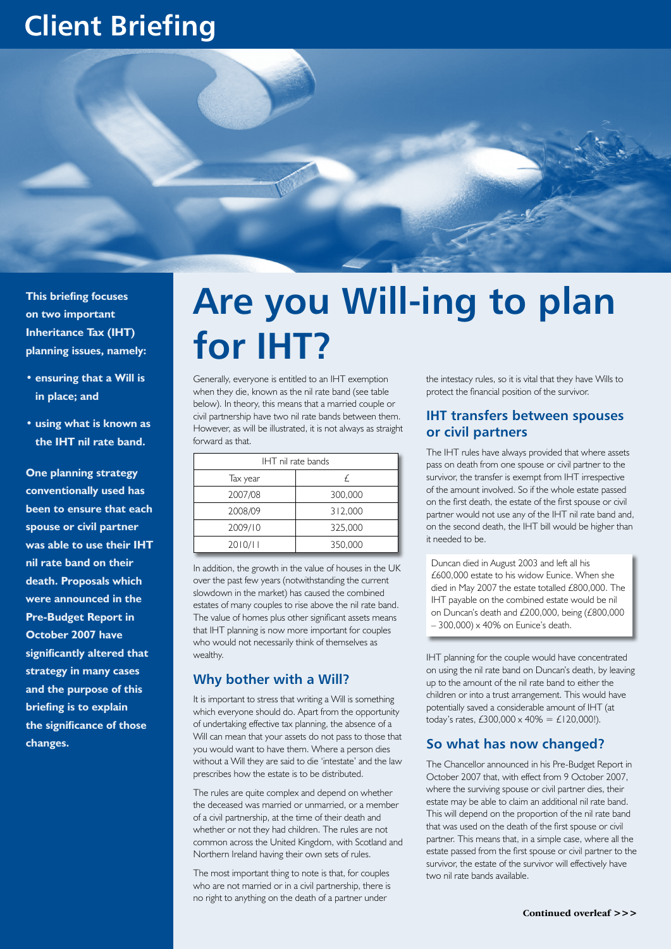## **Client Briefing**



**This briefing focuses on two important Inheritance Tax (IHT) planning issues, namely:**

- **• ensuring that a Will is in place; and**
- **• using what is known as the IHT nil rate band.**

**One planning strategy conventionally used has been to ensure that each spouse or civil partner was able to use their IHT nil rate band on their death. Proposals which were announced in the Pre-Budget Report in October 2007 have significantly altered that strategy in many cases and the purpose of this briefing is to explain the significance of those changes.** 

# **Are you Will-ing to plan for IHT?**

Generally, everyone is entitled to an IHT exemption when they die, known as the nil rate band (see table below). In theory, this means that a married couple or civil partnership have two nil rate bands between them. However, as will be illustrated, it is not always as straight forward as that.

| IHT nil rate bands |         |
|--------------------|---------|
| Tax year           | F       |
| 2007/08            | 300,000 |
| 2008/09            | 312,000 |
| 2009/10            | 325,000 |
| 2010/11            | 350,000 |

In addition, the growth in the value of houses in the UK over the past few years (notwithstanding the current slowdown in the market) has caused the combined estates of many couples to rise above the nil rate band. The value of homes plus other significant assets means that IHT planning is now more important for couples who would not necessarily think of themselves as wealthy.

### **Why bother with a Will?**

It is important to stress that writing a Will is something which everyone should do. Apart from the opportunity of undertaking effective tax planning, the absence of a Will can mean that your assets do not pass to those that you would want to have them. Where a person dies without a Will they are said to die 'intestate' and the law prescribes how the estate is to be distributed.

The rules are quite complex and depend on whether the deceased was married or unmarried, or a member of a civil partnership, at the time of their death and whether or not they had children. The rules are not common across the United Kingdom, with Scotland and Northern Ireland having their own sets of rules.

The most important thing to note is that, for couples who are not married or in a civil partnership, there is no right to anything on the death of a partner under

the intestacy rules, so it is vital that they have Wills to protect the financial position of the survivor.

### **IHT transfers between spouses or civil partners**

The IHT rules have always provided that where assets pass on death from one spouse or civil partner to the survivor, the transfer is exempt from IHT irrespective of the amount involved. So if the whole estate passed on the first death, the estate of the first spouse or civil partner would not use any of the IHT nil rate band and, on the second death, the IHT bill would be higher than it needed to be.

Duncan died in August 2003 and left all his £600,000 estate to his widow Eunice. When she died in May 2007 the estate totalled £800,000. The IHT payable on the combined estate would be nil on Duncan's death and £200,000, being (£800,000 – 300,000) x 40% on Eunice's death.

IHT planning for the couple would have concentrated on using the nil rate band on Duncan's death, by leaving up to the amount of the nil rate band to either the children or into a trust arrangement. This would have potentially saved a considerable amount of IHT (at today's rates, £300,000 x 40% = £120,000!).

### **So what has now changed?**

The Chancellor announced in his Pre-Budget Report in October 2007 that, with effect from 9 October 2007, where the surviving spouse or civil partner dies, their estate may be able to claim an additional nil rate band. This will depend on the proportion of the nil rate band that was used on the death of the first spouse or civil partner. This means that, in a simple case, where all the estate passed from the first spouse or civil partner to the survivor, the estate of the survivor will effectively have two nil rate bands available.